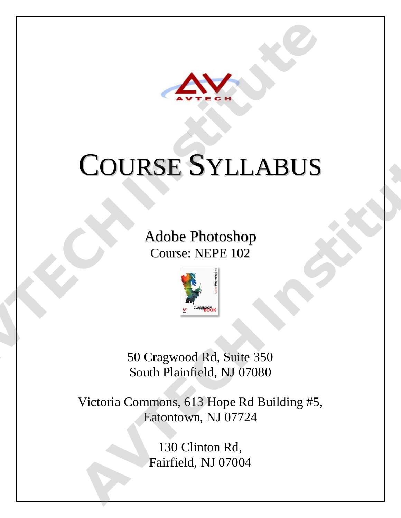

# COURSE SYLLABUS **COURSE SYLLABUS**<br>
Adobe Photoshop<br>
Course: NEPE 102<br>
Adobe Photoshop<br>
Course: NEPE 102<br>
So Cragwood Rd, Suite 350<br>
South Plainfield, NJ 07080 **COURSE SYLLABUS**<br>Adobe Photoshop<br>Course: NEPE 102<br><br>So Cragwood Rd, Suite 350<br>South Plainfield, NJ 07080<br>Victoria Commons, 613 Hope Rd Building #5,<br>Eatontown, NJ 07724<br>130 Clinton Rd.<br>Fairfield, NJ 07004

Adobe Photoshop Course: NEPE 102



50 Cragwood Rd, Suite 350 South Plainfield, NJ 07080

Victoria Commons, 613 Hope Rd Building #5, Eatontown, NJ 07724

> 130 Clinton Rd, Fairfield, NJ 07004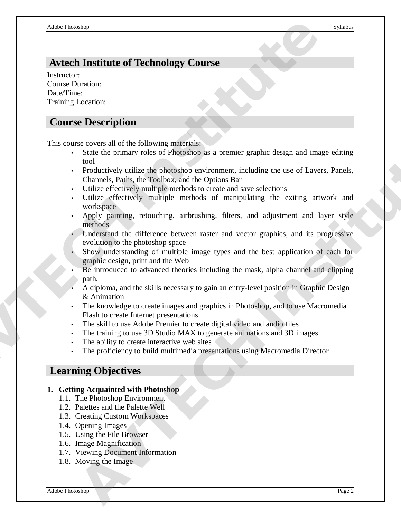# **Avtech Institute of Technology Course**

Instructor: Course Duration: Date/Time: Training Location:

# **Course Description**

This course covers all of the following materials:

- State the primary roles of Photoshop as a premier graphic design and image editing tool
- Productively utilize the photoshop environment, including the use of Layers, Panels, Channels, Paths, the Toolbox, and the Options Bar
- Utilize effectively multiple methods to create and save selections
- Utilize effectively multiple methods of manipulating the exiting artwork and workspace
- Apply painting, retouching, airbrushing, filters, and adjustment and layer style methods
- Understand the difference between raster and vector graphics, and its progressive evolution to the photoshop space
- Show understanding of multiple image types and the best application of each for each for each for graphic design, print and the Web State the primary roles of Photoshop as a premier graphic design and image editing<br>
Noolutiovely tuitiee the photoshop environment, including the use of Layers, Panels,<br>
Probutiovely tuitiee fireforeshy mathematical to rec
- Be introduced to advanced theories including the mask, alpha channel and clipping path.
- A diploma, and the skills necessary to gain an entry-level position in Graphic Design & Animation
- The knowledge to create images and graphics in Photoshop, and to use Macromedia Flash to create Internet presentations **Avtech Institute of Technology Course**<br>
Instructor:<br>
Course Divertients.<br>
Training Location:<br>
Training Location:<br> **Course Description**<br>
This course covers all of the following materials:<br>
• Since the primary roles of Phot
	- The skill to use Adobe Premier to create digital video and audio files
	- The training to use 3D Studio MAX to generate animations and 3D images
	- The ability to create interactive web sites
	- The proficiency to build multimedia presentations using Macromedia Director

## **Learning Objectives**

#### **1. Getting Acquainted with Photoshop**

- 1.1. The Photoshop Environment
- 1.2. Palettes and the Palette Well
- 1.3. Creating Custom Workspaces
- 1.4. Opening Images
- 1.5. Using the File Browser
- 1.6. Image Magnification
- 1.7. Viewing Document Information
- 1.8. Moving the Image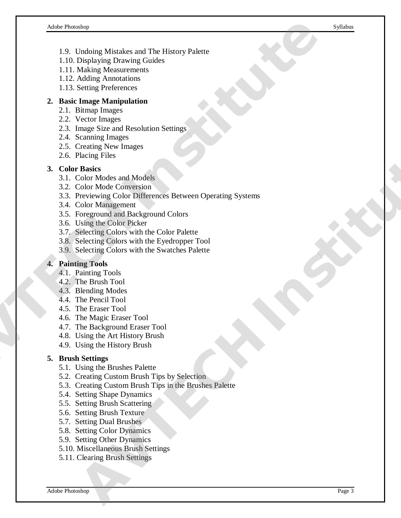- 1.9. Undoing Mistakes and The History Palette
- 1.10. Displaying Drawing Guides
- 1.11. Making Measurements
- 1.12. Adding Annotations
- 1.13. Setting Preferences

#### **2. Basic Image Manipulation**

- 2.1. Bitmap Images
- 2.2. Vector Images
- 2.3. Image Size and Resolution Settings
- 2.4. Scanning Images
- 2.5. Creating New Images
- 2.6. Placing Files

#### **3. Color Basics**

- 3.1. Color Modes and Models
- 3.2. Color Mode Conversion
- 3.3. Previewing Color Differences Between Operating Systems Australian Medicine Mistakes and The History Palette<br>
1.10 Displaying Drawing Guides<br>
1.11. Making Amoratons<br>
1.12. Adding Preferences<br>
2. Basel Image Marindtons<br>
2.1. Birmon Images<br>
2.2. Vector Images<br>
2.2. Creating New I **Axists**<br> **Axists**<br> **Axists**<br> **Photon Modes Conversion Models**<br> **Alon Modes Conversion Color Simple Converse Between Operating Systems**<br> **Averyon Model Converse Between Operating Systems**<br> **Averyon the Color Minites Color** 
	- 3.4. Color Management
	- 3.5. Foreground and Background Colors
	- 3.6. Using the Color Picker
	- 3.7. Selecting Colors with the Color Palette
	- 3.8. Selecting Colors with the Eyedropper Tool
	- 3.9. Selecting Colors with the Swatches Palette

#### **4. Painting Tools**

- 4.1. Painting Tools
- 4.2. The Brush Tool
- 4.3. Blending Modes
- 4.4. The Pencil Tool
- 4.5. The Eraser Tool
- 4.6. The Magic Eraser Tool
- 4.7. The Background Eraser Tool
- 4.8. Using the Art History Brush
- 4.9. Using the History Brush

#### **5. Brush Settings**

- 5.1. Using the Brushes Palette
- 5.2. Creating Custom Brush Tips by Selection
- 5.3. Creating Custom Brush Tips in the Brushes Palette
- 5.4. Setting Shape Dynamics
- 5.5. Setting Brush Scattering
- 5.6. Setting Brush Texture
- 5.7. Setting Dual Brushes
- 5.8. Setting Color Dynamics
- 5.9. Setting Other Dynamics
- 5.10. Miscellaneous Brush Settings
- 5.11. Clearing Brush Settings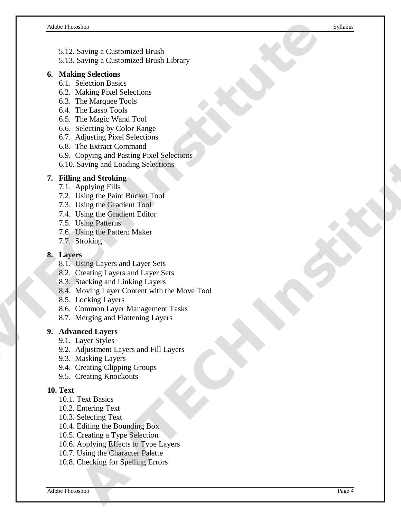- 5.12. Saving a Customized Brush
- 5.13. Saving a Customized Brush Library

#### **6. Making Selections**

- 6.1. Selection Basics
- 6.2. Making Pixel Selections
- 6.3. The Marquee Tools
- 6.4. The Lasso Tools
- 6.5. The Magic Wand Tool
- 6.6. Selecting by Color Range
- 6.7. Adjusting Pixel Selections
- 6.8. The Extract Command
- 6.9. Copying and Pasting Pixel Selections
- 6.10. Saving and Loading Selections

#### **7. Filling and Stroking**

- 7.1. Applying Fills
- 7.2. Using the Paint Bucket Tool
- 7.3. Using the Gradient Tool
- 7.4. Using the Gradient Editor
- 7.5. Using Patterns
- 7.6. Using the Pattern Maker
- 7.7. Stroking

#### **8. Layers**

- 8.1. Using Layers and Layer Sets
- 8.2. Creating Layers and Layer Sets
- 8.3. Stacking and Linking Layers
- 8.4. Moving Layer Content with the Move Tool Americansky<br>
5.12. Styring a Customized Brush<br>
6. Making Selections<br>
6. Making Paleticins<br>
6. Scheine Brel Selections<br>
6. Scheine Brel Selections<br>
6. The Marque Tools<br>
6. The Marque Tools<br>
6. Scheing by Color Range<br>
6. Sch In Lawis Commission Prices between the state of the state of the state of the state of the propriate particular and Lawising the Strain Historic Strain the Gradient Tool<br>Lising the Gradient Tool<br>Lising the Gradient Editor<br>
	- 8.5. Locking Layers
	- 8.6. Common Layer Management Tasks
	- 8.7. Merging and Flattening Layers

#### **9. Advanced Layers**

- 9.1. Layer Styles
- 9.2. Adjustment Layers and Fill Layers
- 9.3. Masking Layers
- 9.4. Creating Clipping Groups
- 9.5. Creating Knockouts

#### **10. Text**

- 10.1. Text Basics
- 10.2. Entering Text
- 10.3. Selecting Text
- 10.4. Editing the Bounding Box
- 10.5. Creating a Type Selection
- 10.6. Applying Effects to Type Layers
- 10.7. Using the Character Palette
- 10.8. Checking for Spelling Errors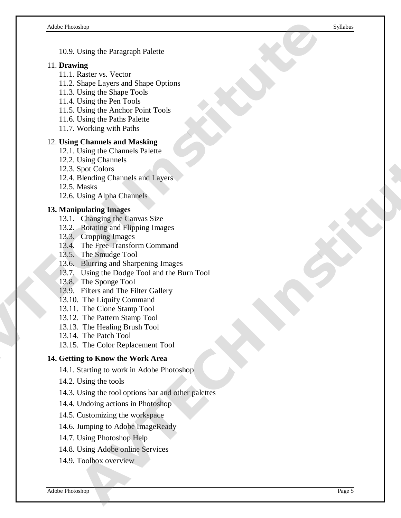10.9. Using the Paragraph Palette

#### 11. **Drawing**

- 11.1. Raster vs. Vector
- 11.2. Shape Layers and Shape Options
- 11.3. Using the Shape Tools
- 11.4. Using the Pen Tools
- 11.5. Using the Anchor Point Tools
- 11.6. Using the Paths Palette
- 11.7. Working with Paths

#### 12. **Using Channels and Masking**

- 12.1. Using the Channels Palette
- 12.2. Using Channels
- 12.3. Spot Colors
- 12.4. Blending Channels and Layers
- 12.5. Masks
- 12.6. Using Alpha Channels

#### **13. Manipulating Images**

- 13.1. Changing the Canvas Size
- 13.2. Rotating and Flipping Images
- 13.3. Cropping Images
- 13.4. The Free Transform Command
- 13.5. The Smudge Tool
- 13.6. Blurring and Sharpening Images
- 13.7. Using the Dodge Tool and the Burn Tool Americansky<br>
10.9. Using the Paragraph Palette<br>
11. Densite is Negro Layers and Shape Options<br>
11.3. Shape Layers and Shape Options<br>
11.3. Using the Shape Tools<br>
11.4. Using the Shape Tools<br>
11.5. Using the Anchor Point To
	- 13.8. The Sponge Tool
	- 13.9. Filters and The Filter Gallery
	- 13.10. The Liquify Command
	- 13.11. The Clone Stamp Tool
	- 13.12. The Pattern Stamp Tool
	- 13.13. The Healing Brush Tool
	- 13.14. The Patch Tool
	- 13.15. The Color Replacement Tool

#### **14. Getting to Know the Work Area**

- 14.1. Starting to work in Adobe Photoshop
- 14.2. Using the tools
- 14.3. Using the tool options bar and other palettes Using the Channels Palette<br>
Using Chunnels<br>
Spot Colors<br>
Spot Colors<br>
Blending Chunnels and Layers<br>
Makis<br>
Making Alpha Channels<br> **Avoing and Eliphong Images**<br>
Conting and Eliphong Images<br>
Coloring the Looke Tool and the B
- 14.4. Undoing actions in Photoshop
- 14.5. Customizing the workspace
- 14.6. Jumping to Adobe ImageReady
- 14.7. Using Photoshop Help
- 14.8. Using Adobe online Services
- 14.9. Toolbox overview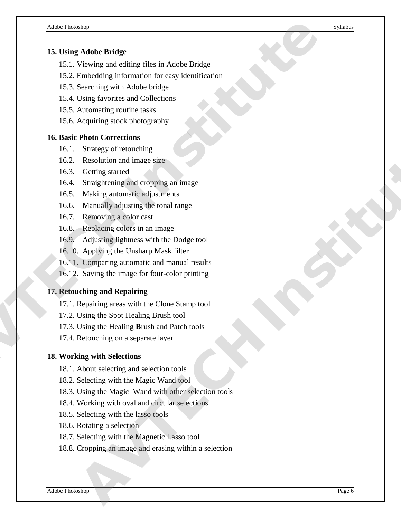#### **15. Using Adobe Bridge**

- 15.1. Viewing and editing files in Adobe Bridge
- 15.2. Embedding information for easy identification **ASSEMBLE ACTIVE AND STRIPS (1998)**<br> **AUTOMAGE IS 1. Verving and estimation for easy identification**<br> **AUTOR** 15.2. Embedding information for easy identification<br>
15.3. Searching favorite and Collections<br>
15.5. Automating
	- 15.3. Searching with Adobe bridge
	- 15.4. Using favorites and Collections
	- 15.5. Automating routine tasks
	- 15.6. Acquiring stock photography

#### **16. Basic Photo Corrections**

- 16.1. Strategy of retouching
- 16.2. Resolution and image size
- 16.3. Getting started
- 16.4. Straightening and cropping an image
- 16.5. Making automatic adjustments
- 16.6. Manually adjusting the tonal range
- 16.7. Removing a color cast
- 16.8. Replacing colors in an image
- 16.9. Adjusting lightness with the Dodge tool
- 16.10. Applying the Unsharp Mask filter
- 16.11. Comparing automatic and manual results
- 16.12. Saving the image for four-color printing

#### **17. Retouching and Repairing**

- 17.1. Repairing areas with the Clone Stamp tool
- 17.2. Using the Spot Healing Brush tool
- 17.3. Using the Healing **B**rush and Patch tools
- 17.4. Retouching on a separate layer

#### **18. Working with Selections**

- 18.1. About selecting and selection tools
- 18.2. Selecting with the Magic Wand tool
- 18.3. Using the Magic Wand with other selection tools Strategy of recoloring<br>Resolution and image size<br>Cetting started<br>Change and cooping an image<br>Making automatic adjustments<br>Manually adjustments<br>Reparame color ost<br>Replacing colors in an image<br>Replacing colors in an image<br>Ad
- 18.4. Working with oval and circular selections
- 18.5. Selecting with the lasso tools
- 18.6. Rotating a selection
- 18.7. Selecting with the Magnetic Lasso tool
- 18.8. Cropping an image and erasing within a selection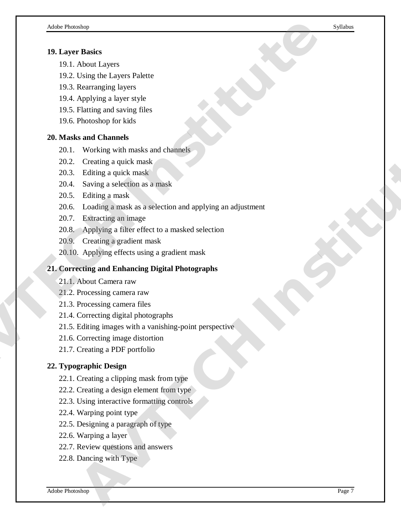#### **19. Layer Basics**

- 19.1. About Layers
- 19.2. Using the Layers Palette
- 19.3. Rearranging layers
- 19.4. Applying a layer style
- 19.5. Flatting and saving files
- 19.6. Photoshop for kids

#### **20. Masks and Channels**

- 20.1. Working with masks and channels
- 20.2. Creating a quick mask
- 20.3. Editing a quick mask
- 20.4. Saving a selection as a mask
- 20.5. Editing a mask
- 20.6. Loading a mask as a selection and applying an adjustment **19. Layer Basics**<br>
19. Layer Basics<br>
19. Lohing the Layers Palette<br>
19.3. Rearranging layers<br>
19.3. Rearranging layers<br>
19.4. Applying a hay rayle<br>
19.5. Plating and saving likes<br>
20.1. Working with masks and channels<br>
20 Working with massk and channels<br>Creating a quick mask<br>Creating a quick mask<br>Editing a quick mask<br>Editing a mask<br>Editing a mask<br>Editing a mask<br>Editing a mask as a selection and applying an adjustment<br>Applying a filter effec
	- 20.7. Extracting an image
	- 20.8. Applying a filter effect to a masked selection
	- 20.9. Creating a gradient mask
	- 20.10. Applying effects using a gradient mask

#### **21. Correcting and Enhancing Digital Photographs**

- 21.1. About Camera raw
- 21.2. Processing camera raw
- 21.3. Processing camera files
- 21.4. Correcting digital photographs
- 21.5. Editing images with a vanishing-point perspective
- 21.6. Correcting image distortion
- 21.7. Creating a PDF portfolio

#### **22. Typographic Design**

- 22.1. Creating a clipping mask from type
- 22.2. Creating a design element from type
- 22.3. Using interactive formatting controls
- 22.4. Warping point type
- 22.5. Designing a paragraph of type
- 22.6. Warping a layer
- 22.7. Review questions and answers
- 22.8. Dancing with Type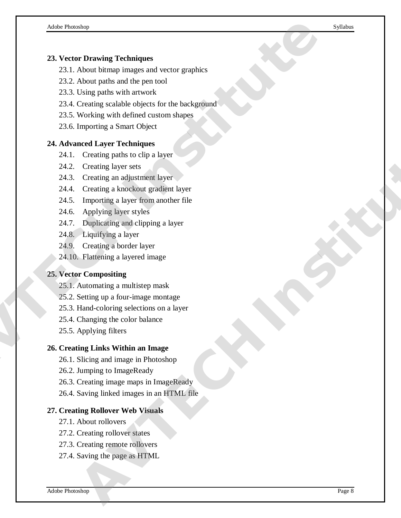#### **23. Vector Drawing Techniques**

- 23.1. About bitmap images and vector graphics
- 23.2. About paths and the pen tool
- 23.3. Using paths with artwork
- 23.4. Creating scalable objects for the background **AVECT COMPASSES**<br>
23.1. About bittming images and vector graphics<br>
23.2. About bittming images and vector graphics<br>
25.3. Using padls with a revorber<br>
25.3. Using padls with a revorber<br>
25.4. Creating scalable objects for
	- 23.5. Working with defined custom shapes
	- 23.6. Importing a Smart Object

#### **24. Advanced Layer Techniques**

- 24.1. Creating paths to clip a layer
- 24.2. Creating layer sets
- 24.3. Creating an adjustment layer
- 24.4. Creating a knockout gradient layer
- 24.5. Importing a layer from another file
- 24.6. Applying layer styles
- 24.7. Duplicating and clipping a layer
- 24.8. Liquifying a layer
- 24.9. Creating a border layer
- 24.10. Flattening a layered image

#### **25. Vector Compositing**

- 25.1. Automating a multistep mask
- 25.2. Setting up a four-image montage
- 25.3. Hand-coloring selections on a layer
- 25.4. Changing the color balance
- 25.5. Applying filters

#### **26. Creating Links Within an Image**

- 26.1. Slicing and image in Photoshop
- 26.2. Jumping to ImageReady
- 26.3. Creating image maps in ImageReady
- 26.4. Saving linked images in an HTML file Creating polits to clip a layer<br>
Creating any sets<br>
Creating an adjustment layer<br>
Creating a kiockout gradient layer<br>
Impuring a layer from another file<br>
Impuring a layer from another file<br>
Liquifying a layer and clipping

#### **27. Creating Rollover Web Visuals**

- 27.1. About rollovers
- 27.2. Creating rollover states
- 27.3. Creating remote rollovers
- 27.4. Saving the page as HTML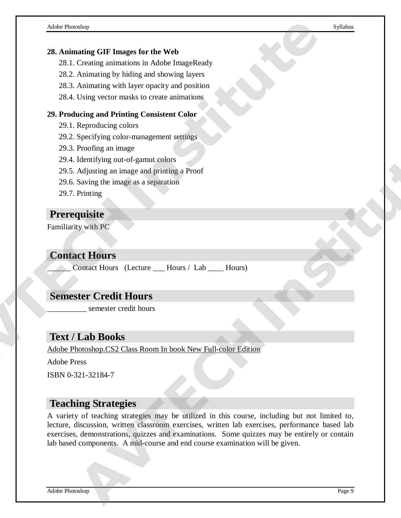- 28.1. Creating animations in Adobe ImageReady
- 28.2. Animating by hiding and showing layers
- 28.3. Animating with layer opacity and position
- 28.4. Using vector masks to create animations

#### **29. Producing and Printing Consistent Color**

- 29.1. Reproducing colors
- 29.2. Specifying color-management settings
- 29.3. Proofing an image
- 29.4. Identifying out-of-gamut colors
- 29.5. Adjusting an image and printing a Proof
- 29.6. Saving the image as a separation
- 29.7. Printing

## **Prerequisite**

Familiarity with PC

## **Contact Hours**

Contact Hours (Lecture \_\_\_\_ Hours / Lab \_\_\_\_ Hours)

## **Semester Credit Hours**

semester credit hours

## **Text / Lab Books**

Adobe Photoshop.CS2 Class Room In book New Full-color Edition **AMERICAN CONTROVER CONSUMISTION**<br>
28. Animating GIF Images for the Web<br>
28. 2. Animating by hiding and showing layers<br>
28. 3. Animating with layer opacity and position<br>
29. B. Trivializing with layer opacity and position<br>

Adobe Press

ISBN 0-321-32184-7

### **Teaching Strategies**

A variety of teaching strategies may be utilized in this course, including but not limited to, lecture, discussion, written classroom exercises, written lab exercises, performance based lab exercises, demonstrations, quizzes and examinations. Some quizzes may be entirely or contain lab based components. A mid-course and end course examination will be given. **Thomagn an image<br>
The linest linest instant colors**<br> **Adjusting an image and printing aProof**<br> **Adjusting an image and printing aProof**<br> **Printing**<br> **Printing**<br> **AVERICAL EXECUTE:**<br> **AVERICAL EXECUTE:**<br> **AVERICAL EXECUTE:**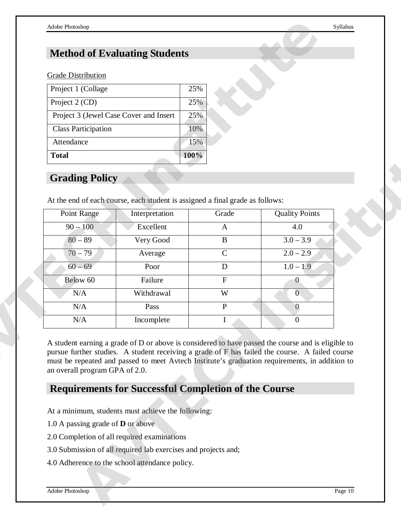| Project 1 (Collage                     | 25%  |
|----------------------------------------|------|
| Project 2 (CD)                         | 25%  |
| Project 3 (Jewel Case Cover and Insert | 25%  |
| <b>Class Participation</b>             | 10%  |
| Attendance                             | 15%  |
| <b>Total</b>                           | 100% |

# **Grading Policy**

| <b>Method of Evaluating Students</b><br><b>Grade Distribution</b><br>Project 1 (Collage<br>25%<br>Project 2 (CD)<br>25%<br>Project 3 (Jewel Case Cover and Insert<br>25%<br><b>Class Participation</b><br>10%<br>Attendance<br>15% |
|------------------------------------------------------------------------------------------------------------------------------------------------------------------------------------------------------------------------------------|
|                                                                                                                                                                                                                                    |
|                                                                                                                                                                                                                                    |
|                                                                                                                                                                                                                                    |
|                                                                                                                                                                                                                                    |
|                                                                                                                                                                                                                                    |
|                                                                                                                                                                                                                                    |
|                                                                                                                                                                                                                                    |
|                                                                                                                                                                                                                                    |
| <b>Total</b><br>100%                                                                                                                                                                                                               |
| At the end of each course, each student is assigned a final grade as follows:                                                                                                                                                      |
| <b>Quality Points</b><br>Point Range<br>Interpretation<br>Grade                                                                                                                                                                    |
| $90 - 100$<br>Excellent<br>4.0<br>$\mathbf{A}$                                                                                                                                                                                     |
| $80 - 89$<br>$3.0 - 3.9$<br>$\, {\bf B}$<br>Very Good                                                                                                                                                                              |
| $2.0 - 2.9$<br>$70 - 79$<br>$\mathbf C$<br>Average                                                                                                                                                                                 |
| $1.0 - 1.9$<br>$60 - 69$<br>$\mathbf D$<br>Poor                                                                                                                                                                                    |
| $\mathbf F$<br>Below 60<br>Failure<br>$\theta$                                                                                                                                                                                     |
| Withdrawal<br>W<br>N/A<br>$\overline{0}$                                                                                                                                                                                           |
| $\rm N/A$<br>$\mathbf{P}$<br>Pass<br>$\overline{0}$                                                                                                                                                                                |
| $\rm N/A$<br>$\overline{0}$<br>$\mathbf I$<br>Incomplete                                                                                                                                                                           |

# **Requirements for Successful Completion of the Course**

- 2.0 Completion of all required examinations
- 3.0 Submission of all required lab exercises and projects and;
- 4.0 Adherence to the school attendance policy.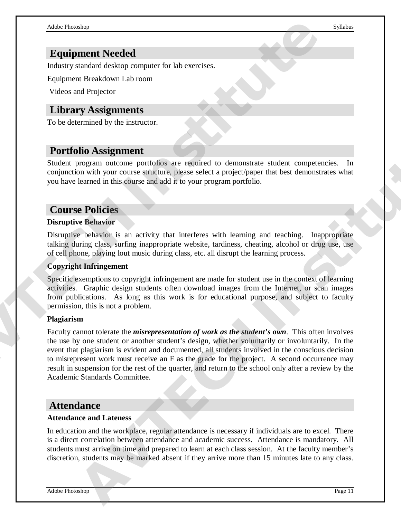# **Equipment Needed**

Industry standard desktop computer for lab exercises.

Equipment Breakdown Lab room

Videos and Projector

## **Library Assignments**

To be determined by the instructor.

## **Portfolio Assignment**

Student program outcome portfolios are required to demonstrate student competencies. In conjunction with your course structure, please select a project/paper that best demonstrates what you have learned in this course and add it to your program portfolio.

## **Course Policies**

#### **Disruptive Behavior**

Disruptive behavior is an activity that interferes with learning and teaching. Inappropriate talking during class, surfing inappropriate website, tardiness, cheating, alcohol or drug use, use of cell phone, playing lout music during class, etc. all disrupt the learning process. 

#### **Copyright Infringement**

Specific exemptions to copyright infringement are made for student use in the context of learning activities. Graphic design students often download images from the Internet, or scan images from publications. As long as this work is for educational purpose, and subject to faculty permission, this is not a problem.

#### **Plagiarism**

Faculty cannot tolerate the *misrepresentation of work as the student's own*. This often involves the use by one student or another student's design, whether voluntarily or involuntarily. In the event that plagiarism is evident and documented, all students involved in the conscious decision to misrepresent work must receive an F as the grade for the project. A second occurrence may result in suspension for the rest of the quarter, and return to the school only after a review by the Academic Standards Committee. **Equipment Needed**<br> **AUGUSTY standard desktop computer for lab exercises.**<br> **AUGUSTY Standard desktop computer for lab exercises.**<br> **AUGUSTY ASSignment**<br> **AUGUSTY ASSignment**<br> **AUGUSTY ASSignment**<br> **AUGUSTY ASSignment**<br> **A Lind Assignment**<br> **AVEGANISION ASSIGNATION**<br> **AVEGANISION** ASSIGNATION of the structure of the structure of the structure of the structure plane select a project/paper that best demonstrates what<br>
be Politicips<br> **AVEGANIS** 

## **Attendance**

#### **Attendance and Lateness**

In education and the workplace, regular attendance is necessary if individuals are to excel. There is a direct correlation between attendance and academic success. Attendance is mandatory. All students must arrive on time and prepared to learn at each class session. At the faculty member's discretion, students may be marked absent if they arrive more than 15 minutes late to any class.